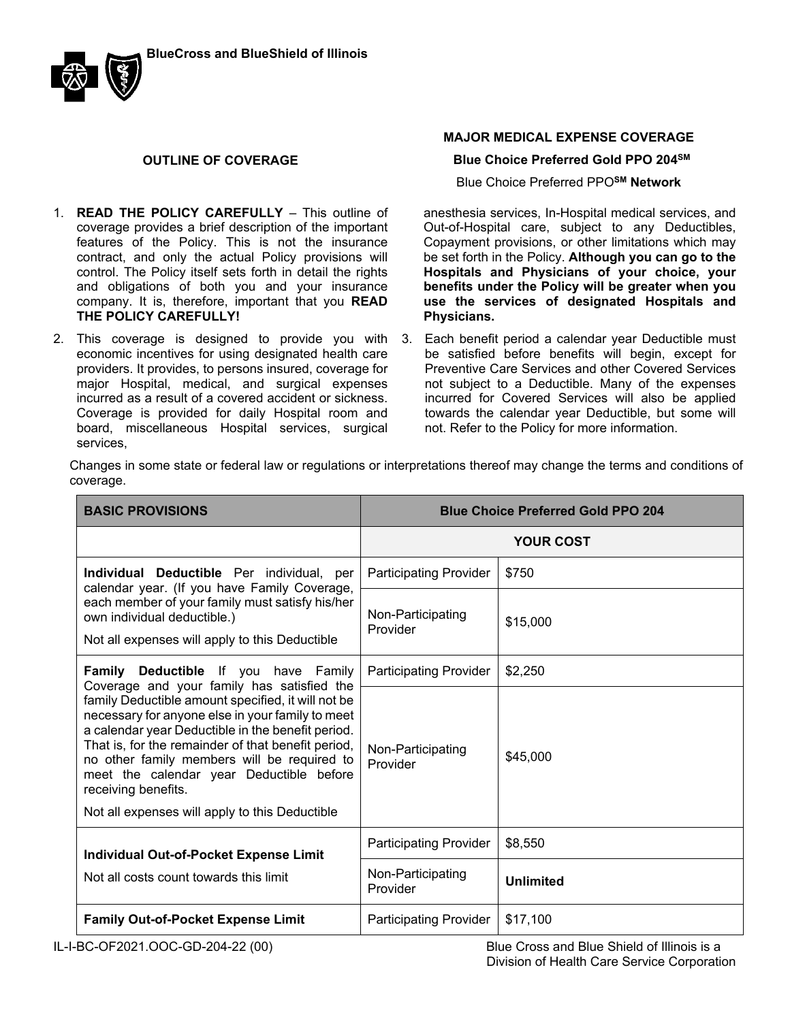

### **OUTLINE OF COVERAGE**

- 1. **READ THE POLICY CAREFULLY** This outline of coverage provides a brief description of the important features of the Policy. This is not the insurance contract, and only the actual Policy provisions will control. The Policy itself sets forth in detail the rights and obligations of both you and your insurance company. It is, therefore, important that you **READ THE POLICY CAREFULLY!**.
- 2. This coverage is designed to provide you with economic incentives for using designated health care providers. It provides, to persons insured, coverage for major Hospital, medical, and surgical expenses incurred as a result of a covered accident or sickness. Coverage is provided for daily Hospital room and board, miscellaneous Hospital services, surgical services,

### **MAJOR MEDICAL EXPENSE COVERAGE**

#### **Blue Choice Preferred Gold PPO 204SM**

Blue Choice Preferred PPO**SM Network**

anesthesia services, In-Hospital medical services, and Out-of-Hospital care, subject to any Deductibles, Copayment provisions, or other limitations which may be set forth in the Policy. **Although you can go to the Hospitals and Physicians of your choice, your benefits under the Policy will be greater when you use the services of designated Hospitals and Physicians.**

3. Each benefit period a calendar year Deductible must be satisfied before benefits will begin, except for Preventive Care Services and other Covered Services not subject to a Deductible. Many of the expenses incurred for Covered Services will also be applied towards the calendar year Deductible, but some will not. Refer to the Policy for more information.

Changes in some state or federal law or regulations or interpretations thereof may change the terms and conditions of coverage.

| <b>BASIC PROVISIONS</b>                                                                                                                                                                                                                                                                                                                                                               | <b>Blue Choice Preferred Gold PPO 204</b> |                  |
|---------------------------------------------------------------------------------------------------------------------------------------------------------------------------------------------------------------------------------------------------------------------------------------------------------------------------------------------------------------------------------------|-------------------------------------------|------------------|
|                                                                                                                                                                                                                                                                                                                                                                                       | <b>YOUR COST</b>                          |                  |
| Individual Deductible Per individual, per                                                                                                                                                                                                                                                                                                                                             | <b>Participating Provider</b>             | \$750            |
| calendar year. (If you have Family Coverage,<br>each member of your family must satisfy his/her<br>Non-Participating<br>own individual deductible.)<br>Provider<br>Not all expenses will apply to this Deductible                                                                                                                                                                     |                                           | \$15,000         |
| Family Deductible If you have Family<br>Coverage and your family has satisfied the                                                                                                                                                                                                                                                                                                    | <b>Participating Provider</b>             | \$2,250          |
| family Deductible amount specified, it will not be<br>necessary for anyone else in your family to meet<br>a calendar year Deductible in the benefit period.<br>That is, for the remainder of that benefit period,<br>no other family members will be required to<br>meet the calendar year Deductible before<br>receiving benefits.<br>Not all expenses will apply to this Deductible | Non-Participating<br>Provider             | \$45,000         |
|                                                                                                                                                                                                                                                                                                                                                                                       | <b>Participating Provider</b>             | \$8,550          |
| <b>Individual Out-of-Pocket Expense Limit</b><br>Not all costs count towards this limit                                                                                                                                                                                                                                                                                               | Non-Participating<br>Provider             | <b>Unlimited</b> |
| <b>Family Out-of-Pocket Expense Limit</b>                                                                                                                                                                                                                                                                                                                                             | <b>Participating Provider</b>             | \$17,100         |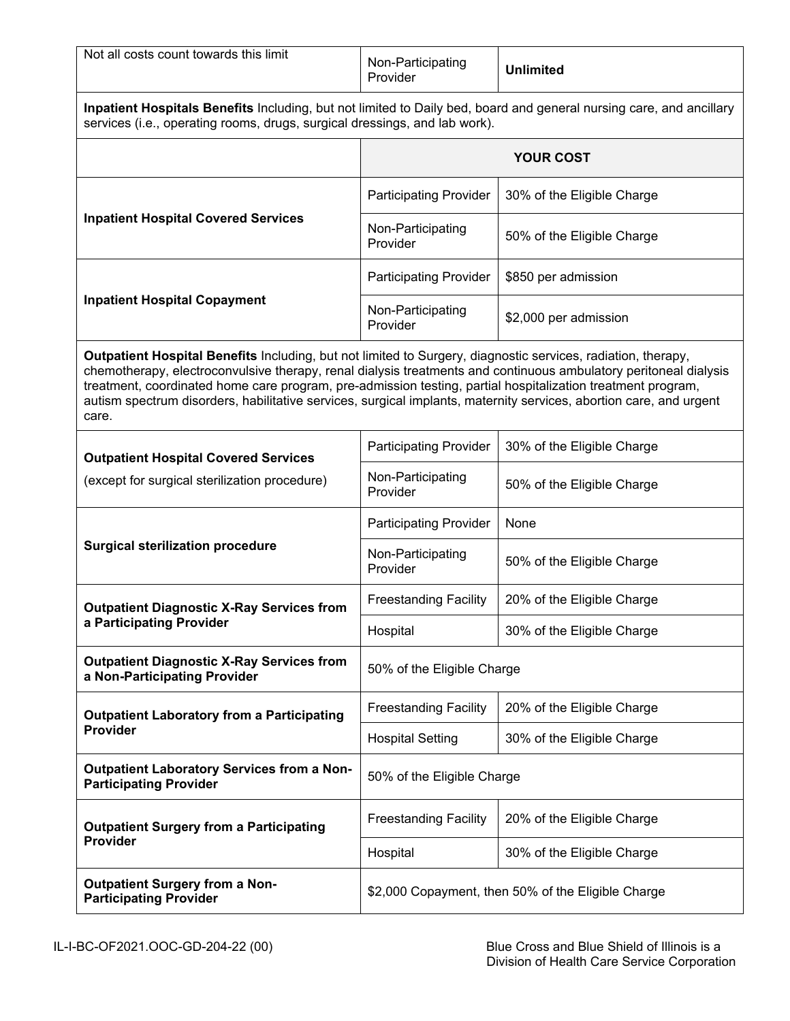| Not all costs count towards this limit                                                                                                                                                                                                                                                                                                                                                                                                                                         | Non-Participating<br>Provider                      | <b>Unlimited</b>           |  |
|--------------------------------------------------------------------------------------------------------------------------------------------------------------------------------------------------------------------------------------------------------------------------------------------------------------------------------------------------------------------------------------------------------------------------------------------------------------------------------|----------------------------------------------------|----------------------------|--|
| Inpatient Hospitals Benefits Including, but not limited to Daily bed, board and general nursing care, and ancillary<br>services (i.e., operating rooms, drugs, surgical dressings, and lab work).                                                                                                                                                                                                                                                                              |                                                    |                            |  |
|                                                                                                                                                                                                                                                                                                                                                                                                                                                                                | <b>YOUR COST</b>                                   |                            |  |
|                                                                                                                                                                                                                                                                                                                                                                                                                                                                                | <b>Participating Provider</b>                      | 30% of the Eligible Charge |  |
| <b>Inpatient Hospital Covered Services</b>                                                                                                                                                                                                                                                                                                                                                                                                                                     | Non-Participating<br>Provider                      | 50% of the Eligible Charge |  |
|                                                                                                                                                                                                                                                                                                                                                                                                                                                                                | <b>Participating Provider</b>                      | \$850 per admission        |  |
| <b>Inpatient Hospital Copayment</b>                                                                                                                                                                                                                                                                                                                                                                                                                                            | Non-Participating<br>Provider                      | \$2,000 per admission      |  |
| Outpatient Hospital Benefits Including, but not limited to Surgery, diagnostic services, radiation, therapy,<br>chemotherapy, electroconvulsive therapy, renal dialysis treatments and continuous ambulatory peritoneal dialysis<br>treatment, coordinated home care program, pre-admission testing, partial hospitalization treatment program,<br>autism spectrum disorders, habilitative services, surgical implants, maternity services, abortion care, and urgent<br>care. |                                                    |                            |  |
| <b>Outpatient Hospital Covered Services</b>                                                                                                                                                                                                                                                                                                                                                                                                                                    | <b>Participating Provider</b>                      | 30% of the Eligible Charge |  |
| (except for surgical sterilization procedure)                                                                                                                                                                                                                                                                                                                                                                                                                                  | Non-Participating<br>Provider                      | 50% of the Eligible Charge |  |
| <b>Surgical sterilization procedure</b>                                                                                                                                                                                                                                                                                                                                                                                                                                        | <b>Participating Provider</b>                      | None                       |  |
|                                                                                                                                                                                                                                                                                                                                                                                                                                                                                | Non-Participating<br>Provider                      | 50% of the Eligible Charge |  |
| <b>Outpatient Diagnostic X-Ray Services from</b>                                                                                                                                                                                                                                                                                                                                                                                                                               | <b>Freestanding Facility</b>                       | 20% of the Eligible Charge |  |
| a Participating Provider                                                                                                                                                                                                                                                                                                                                                                                                                                                       | Hospital                                           | 30% of the Eligible Charge |  |
| <b>Outpatient Diagnostic X-Ray Services from</b><br>a Non-Participating Provider                                                                                                                                                                                                                                                                                                                                                                                               | 50% of the Eligible Charge                         |                            |  |
| <b>Outpatient Laboratory from a Participating</b>                                                                                                                                                                                                                                                                                                                                                                                                                              | <b>Freestanding Facility</b>                       | 20% of the Eligible Charge |  |
| Provider                                                                                                                                                                                                                                                                                                                                                                                                                                                                       | <b>Hospital Setting</b>                            | 30% of the Eligible Charge |  |
| <b>Outpatient Laboratory Services from a Non-</b><br><b>Participating Provider</b>                                                                                                                                                                                                                                                                                                                                                                                             | 50% of the Eligible Charge                         |                            |  |
| <b>Outpatient Surgery from a Participating</b>                                                                                                                                                                                                                                                                                                                                                                                                                                 | <b>Freestanding Facility</b>                       | 20% of the Eligible Charge |  |
| Provider                                                                                                                                                                                                                                                                                                                                                                                                                                                                       | Hospital                                           | 30% of the Eligible Charge |  |
| <b>Outpatient Surgery from a Non-</b><br><b>Participating Provider</b>                                                                                                                                                                                                                                                                                                                                                                                                         | \$2,000 Copayment, then 50% of the Eligible Charge |                            |  |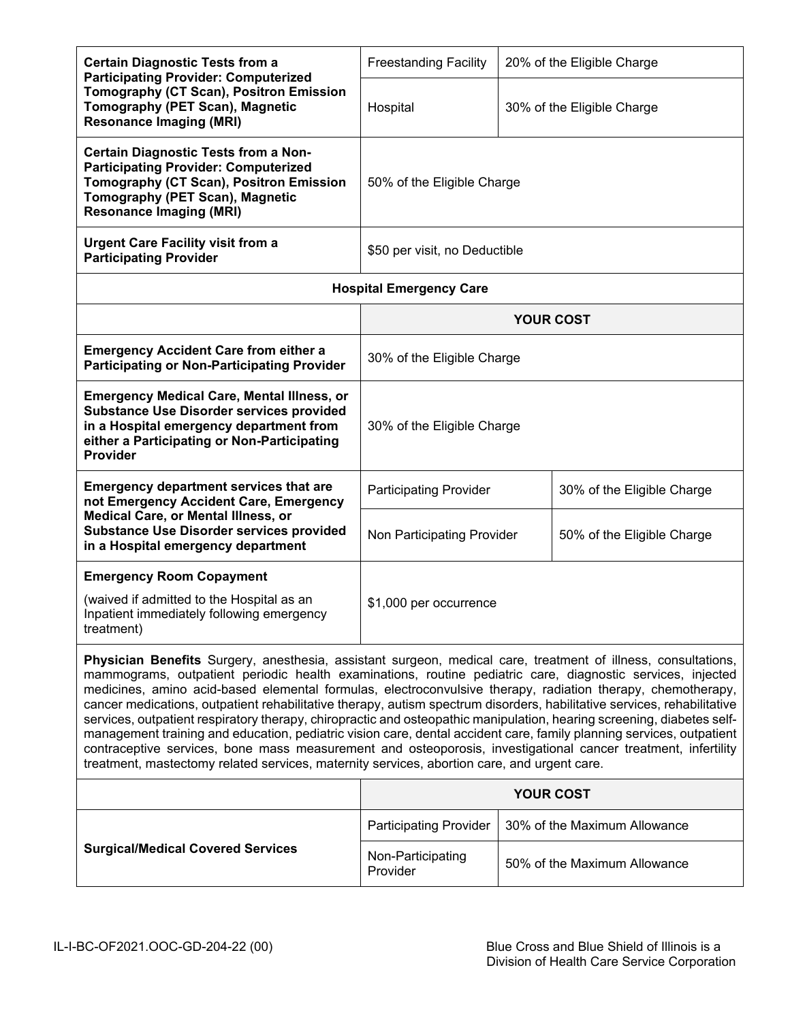| <b>Certain Diagnostic Tests from a</b><br><b>Participating Provider: Computerized</b>                                                                                                                                                                                                                                                                                                                                                                                                                                                                                                                                                                                                                                                                                                                                                                                                                                                   | <b>Freestanding Facility</b>   | 20% of the Eligible Charge |                              |
|-----------------------------------------------------------------------------------------------------------------------------------------------------------------------------------------------------------------------------------------------------------------------------------------------------------------------------------------------------------------------------------------------------------------------------------------------------------------------------------------------------------------------------------------------------------------------------------------------------------------------------------------------------------------------------------------------------------------------------------------------------------------------------------------------------------------------------------------------------------------------------------------------------------------------------------------|--------------------------------|----------------------------|------------------------------|
| Tomography (CT Scan), Positron Emission<br>Tomography (PET Scan), Magnetic<br><b>Resonance Imaging (MRI)</b>                                                                                                                                                                                                                                                                                                                                                                                                                                                                                                                                                                                                                                                                                                                                                                                                                            | Hospital                       |                            | 30% of the Eligible Charge   |
| <b>Certain Diagnostic Tests from a Non-</b><br><b>Participating Provider: Computerized</b><br>Tomography (CT Scan), Positron Emission<br>Tomography (PET Scan), Magnetic<br><b>Resonance Imaging (MRI)</b>                                                                                                                                                                                                                                                                                                                                                                                                                                                                                                                                                                                                                                                                                                                              | 50% of the Eligible Charge     |                            |                              |
| <b>Urgent Care Facility visit from a</b><br><b>Participating Provider</b>                                                                                                                                                                                                                                                                                                                                                                                                                                                                                                                                                                                                                                                                                                                                                                                                                                                               | \$50 per visit, no Deductible  |                            |                              |
|                                                                                                                                                                                                                                                                                                                                                                                                                                                                                                                                                                                                                                                                                                                                                                                                                                                                                                                                         | <b>Hospital Emergency Care</b> |                            |                              |
|                                                                                                                                                                                                                                                                                                                                                                                                                                                                                                                                                                                                                                                                                                                                                                                                                                                                                                                                         |                                |                            | <b>YOUR COST</b>             |
| <b>Emergency Accident Care from either a</b><br><b>Participating or Non-Participating Provider</b>                                                                                                                                                                                                                                                                                                                                                                                                                                                                                                                                                                                                                                                                                                                                                                                                                                      | 30% of the Eligible Charge     |                            |                              |
| <b>Emergency Medical Care, Mental Illness, or</b><br><b>Substance Use Disorder services provided</b><br>in a Hospital emergency department from<br>either a Participating or Non-Participating<br><b>Provider</b>                                                                                                                                                                                                                                                                                                                                                                                                                                                                                                                                                                                                                                                                                                                       | 30% of the Eligible Charge     |                            |                              |
| <b>Emergency department services that are</b><br>not Emergency Accident Care, Emergency                                                                                                                                                                                                                                                                                                                                                                                                                                                                                                                                                                                                                                                                                                                                                                                                                                                 | <b>Participating Provider</b>  |                            | 30% of the Eligible Charge   |
| Medical Care, or Mental Illness, or<br><b>Substance Use Disorder services provided</b><br>in a Hospital emergency department                                                                                                                                                                                                                                                                                                                                                                                                                                                                                                                                                                                                                                                                                                                                                                                                            | Non Participating Provider     |                            | 50% of the Eligible Charge   |
| <b>Emergency Room Copayment</b>                                                                                                                                                                                                                                                                                                                                                                                                                                                                                                                                                                                                                                                                                                                                                                                                                                                                                                         |                                |                            |                              |
| (waived if admitted to the Hospital as an<br>Inpatient immediately following emergency<br>treatment)                                                                                                                                                                                                                                                                                                                                                                                                                                                                                                                                                                                                                                                                                                                                                                                                                                    | \$1,000 per occurrence         |                            |                              |
| Physician Benefits Surgery, anesthesia, assistant surgeon, medical care, treatment of illness, consultations,<br>mammograms, outpatient periodic health examinations, routine pediatric care, diagnostic services, injected<br>medicines, amino acid-based elemental formulas, electroconvulsive therapy, radiation therapy, chemotherapy,<br>cancer medications, outpatient rehabilitative therapy, autism spectrum disorders, habilitative services, rehabilitative<br>services, outpatient respiratory therapy, chiropractic and osteopathic manipulation, hearing screening, diabetes self-<br>management training and education, pediatric vision care, dental accident care, family planning services, outpatient<br>contraceptive services, bone mass measurement and osteoporosis, investigational cancer treatment, infertility<br>treatment, mastectomy related services, maternity services, abortion care, and urgent care. |                                |                            |                              |
|                                                                                                                                                                                                                                                                                                                                                                                                                                                                                                                                                                                                                                                                                                                                                                                                                                                                                                                                         |                                |                            | <b>YOUR COST</b>             |
|                                                                                                                                                                                                                                                                                                                                                                                                                                                                                                                                                                                                                                                                                                                                                                                                                                                                                                                                         | <b>Participating Provider</b>  |                            | 30% of the Maximum Allowance |
| <b>Surgical/Medical Covered Services</b>                                                                                                                                                                                                                                                                                                                                                                                                                                                                                                                                                                                                                                                                                                                                                                                                                                                                                                | Non-Participating<br>Provider  |                            | 50% of the Maximum Allowance |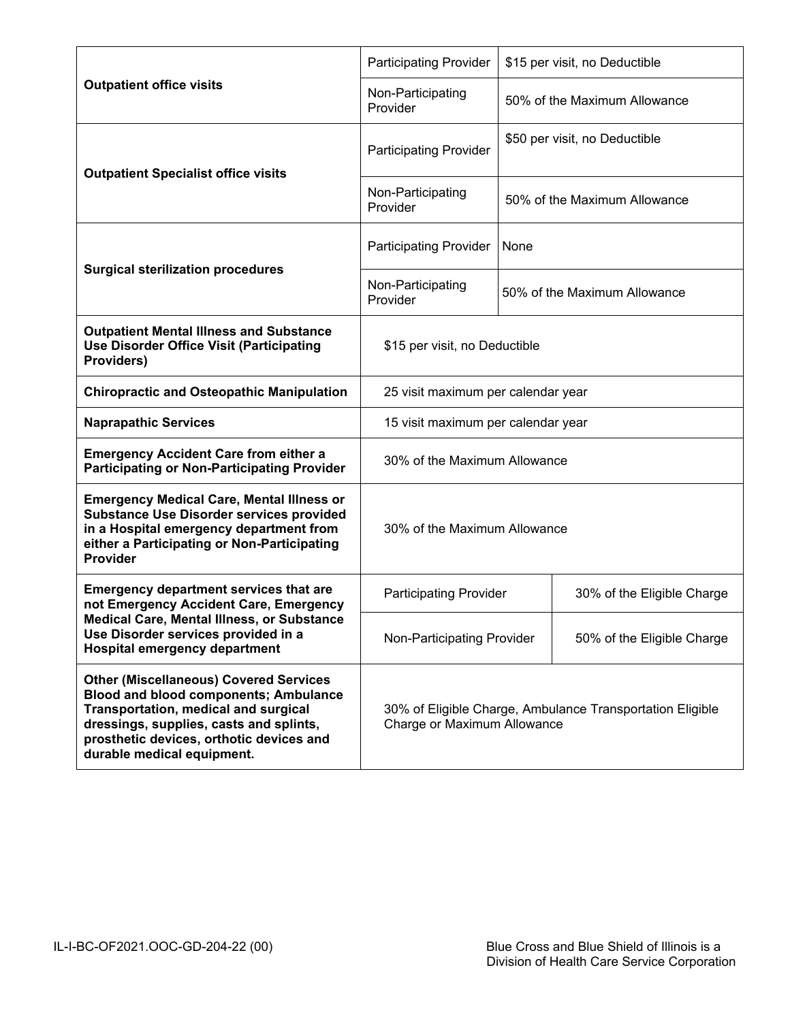|                                                                                                                                                                                                                                                                   | <b>Participating Provider</b>                                                            | \$15 per visit, no Deductible |  |
|-------------------------------------------------------------------------------------------------------------------------------------------------------------------------------------------------------------------------------------------------------------------|------------------------------------------------------------------------------------------|-------------------------------|--|
| <b>Outpatient office visits</b>                                                                                                                                                                                                                                   | Non-Participating<br>Provider                                                            | 50% of the Maximum Allowance  |  |
| <b>Outpatient Specialist office visits</b>                                                                                                                                                                                                                        | <b>Participating Provider</b>                                                            | \$50 per visit, no Deductible |  |
|                                                                                                                                                                                                                                                                   | Non-Participating<br>Provider                                                            | 50% of the Maximum Allowance  |  |
| <b>Surgical sterilization procedures</b>                                                                                                                                                                                                                          | <b>Participating Provider</b>                                                            | None                          |  |
|                                                                                                                                                                                                                                                                   | Non-Participating<br>Provider                                                            | 50% of the Maximum Allowance  |  |
| <b>Outpatient Mental Illness and Substance</b><br><b>Use Disorder Office Visit (Participating</b><br>Providers)                                                                                                                                                   | \$15 per visit, no Deductible                                                            |                               |  |
| <b>Chiropractic and Osteopathic Manipulation</b>                                                                                                                                                                                                                  | 25 visit maximum per calendar year                                                       |                               |  |
| <b>Naprapathic Services</b>                                                                                                                                                                                                                                       | 15 visit maximum per calendar year                                                       |                               |  |
| <b>Emergency Accident Care from either a</b><br><b>Participating or Non-Participating Provider</b>                                                                                                                                                                | 30% of the Maximum Allowance                                                             |                               |  |
| <b>Emergency Medical Care, Mental Illness or</b><br><b>Substance Use Disorder services provided</b><br>in a Hospital emergency department from<br>either a Participating or Non-Participating<br>Provider                                                         | 30% of the Maximum Allowance                                                             |                               |  |
| <b>Emergency department services that are</b><br>not Emergency Accident Care, Emergency                                                                                                                                                                           | <b>Participating Provider</b>                                                            | 30% of the Eligible Charge    |  |
| Medical Care, Mental Illness, or Substance<br>Use Disorder services provided in a<br><b>Hospital emergency department</b>                                                                                                                                         | Non-Participating Provider                                                               | 50% of the Eligible Charge    |  |
| <b>Other (Miscellaneous) Covered Services</b><br><b>Blood and blood components; Ambulance</b><br><b>Transportation, medical and surgical</b><br>dressings, supplies, casts and splints,<br>prosthetic devices, orthotic devices and<br>durable medical equipment. | 30% of Eligible Charge, Ambulance Transportation Eligible<br>Charge or Maximum Allowance |                               |  |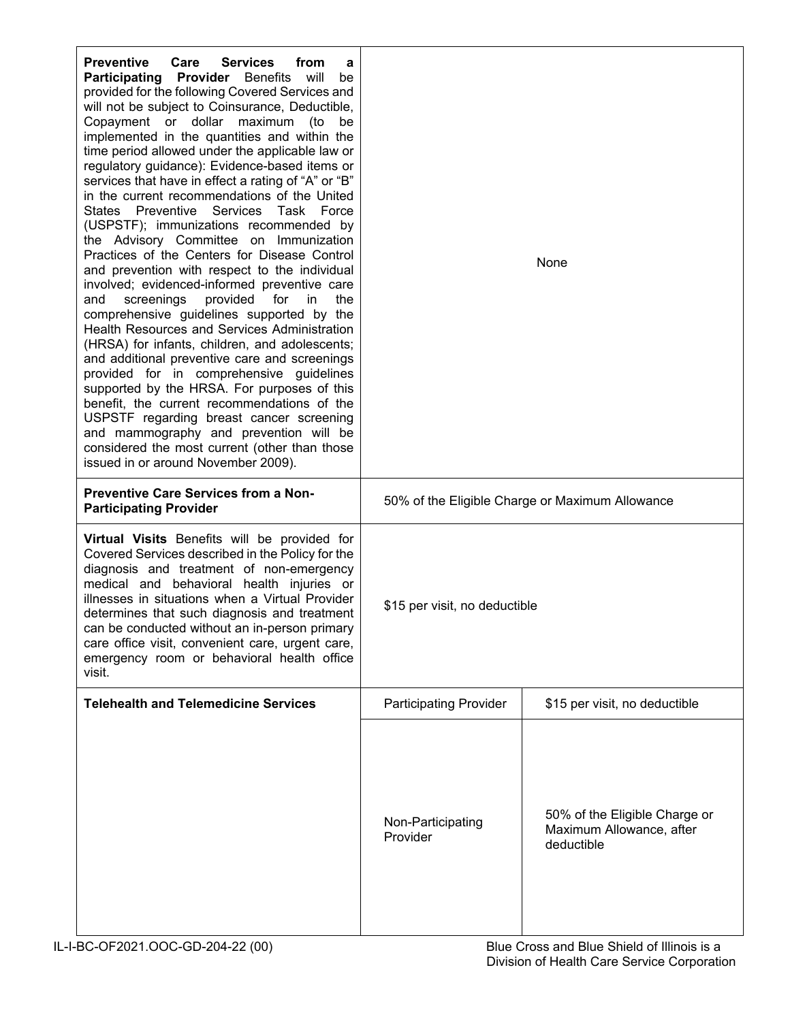| <b>Preventive</b><br>Care<br><b>Services</b><br>from<br>a<br>Participating Provider Benefits will<br>be<br>provided for the following Covered Services and<br>will not be subject to Coinsurance, Deductible,<br>Copayment or dollar maximum (to<br>be<br>implemented in the quantities and within the<br>time period allowed under the applicable law or<br>regulatory guidance): Evidence-based items or<br>services that have in effect a rating of "A" or "B"<br>in the current recommendations of the United<br>States Preventive Services Task Force<br>(USPSTF); immunizations recommended by<br>the Advisory Committee on Immunization<br>Practices of the Centers for Disease Control<br>and prevention with respect to the individual<br>involved; evidenced-informed preventive care<br>screenings<br>provided<br>for<br>the<br>and<br>in.<br>comprehensive guidelines supported by the<br>Health Resources and Services Administration<br>(HRSA) for infants, children, and adolescents;<br>and additional preventive care and screenings<br>provided for in comprehensive guidelines<br>supported by the HRSA. For purposes of this<br>benefit, the current recommendations of the<br>USPSTF regarding breast cancer screening<br>and mammography and prevention will be<br>considered the most current (other than those<br>issued in or around November 2009). | None                          |                                                                         |
|-------------------------------------------------------------------------------------------------------------------------------------------------------------------------------------------------------------------------------------------------------------------------------------------------------------------------------------------------------------------------------------------------------------------------------------------------------------------------------------------------------------------------------------------------------------------------------------------------------------------------------------------------------------------------------------------------------------------------------------------------------------------------------------------------------------------------------------------------------------------------------------------------------------------------------------------------------------------------------------------------------------------------------------------------------------------------------------------------------------------------------------------------------------------------------------------------------------------------------------------------------------------------------------------------------------------------------------------------------------------------------|-------------------------------|-------------------------------------------------------------------------|
| <b>Preventive Care Services from a Non-</b><br><b>Participating Provider</b>                                                                                                                                                                                                                                                                                                                                                                                                                                                                                                                                                                                                                                                                                                                                                                                                                                                                                                                                                                                                                                                                                                                                                                                                                                                                                                  |                               | 50% of the Eligible Charge or Maximum Allowance                         |
| Virtual Visits Benefits will be provided for<br>Covered Services described in the Policy for the<br>diagnosis and treatment of non-emergency<br>medical and behavioral health injuries or<br>illnesses in situations when a Virtual Provider<br>determines that such diagnosis and treatment<br>can be conducted without an in-person primary<br>care office visit, convenient care, urgent care,<br>emergency room or behavioral health office<br>visit.                                                                                                                                                                                                                                                                                                                                                                                                                                                                                                                                                                                                                                                                                                                                                                                                                                                                                                                     | \$15 per visit, no deductible |                                                                         |
| <b>Telehealth and Telemedicine Services</b>                                                                                                                                                                                                                                                                                                                                                                                                                                                                                                                                                                                                                                                                                                                                                                                                                                                                                                                                                                                                                                                                                                                                                                                                                                                                                                                                   | <b>Participating Provider</b> | \$15 per visit, no deductible                                           |
|                                                                                                                                                                                                                                                                                                                                                                                                                                                                                                                                                                                                                                                                                                                                                                                                                                                                                                                                                                                                                                                                                                                                                                                                                                                                                                                                                                               | Non-Participating<br>Provider | 50% of the Eligible Charge or<br>Maximum Allowance, after<br>deductible |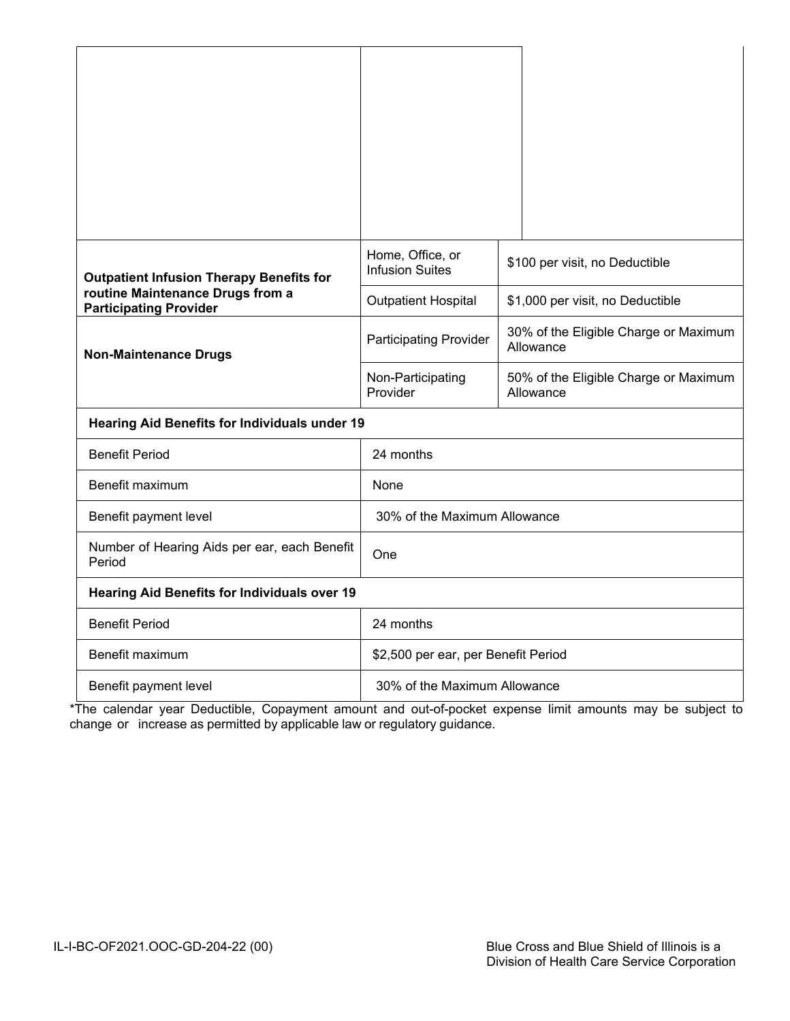| <b>Outpatient Infusion Therapy Benefits for</b>                   | Home, Office, or<br><b>Infusion Suites</b> | \$100 per visit, no Deductible                     |
|-------------------------------------------------------------------|--------------------------------------------|----------------------------------------------------|
| routine Maintenance Drugs from a<br><b>Participating Provider</b> | <b>Outpatient Hospital</b>                 | \$1,000 per visit, no Deductible                   |
| <b>Non-Maintenance Drugs</b>                                      | <b>Participating Provider</b>              | 30% of the Eligible Charge or Maximum<br>Allowance |
|                                                                   | Non-Participating<br>Provider              | 50% of the Eligible Charge or Maximum<br>Allowance |
| <b>Hearing Aid Benefits for Individuals under 19</b>              |                                            |                                                    |
| <b>Benefit Period</b>                                             | 24 months                                  |                                                    |
| Benefit maximum                                                   | None                                       |                                                    |
| Benefit payment level                                             | 30% of the Maximum Allowance               |                                                    |
| Number of Hearing Aids per ear, each Benefit<br>Period            | One                                        |                                                    |
| <b>Hearing Aid Benefits for Individuals over 19</b>               |                                            |                                                    |
| <b>Benefit Period</b>                                             | 24 months                                  |                                                    |
| Benefit maximum                                                   | \$2,500 per ear, per Benefit Period        |                                                    |
| Benefit payment level                                             | 30% of the Maximum Allowance               |                                                    |

\*The calendar year Deductible, Copayment amount and out-of-pocket expense limit amounts may be subject to change or increase as permitted by applicable law or regulatory guidance.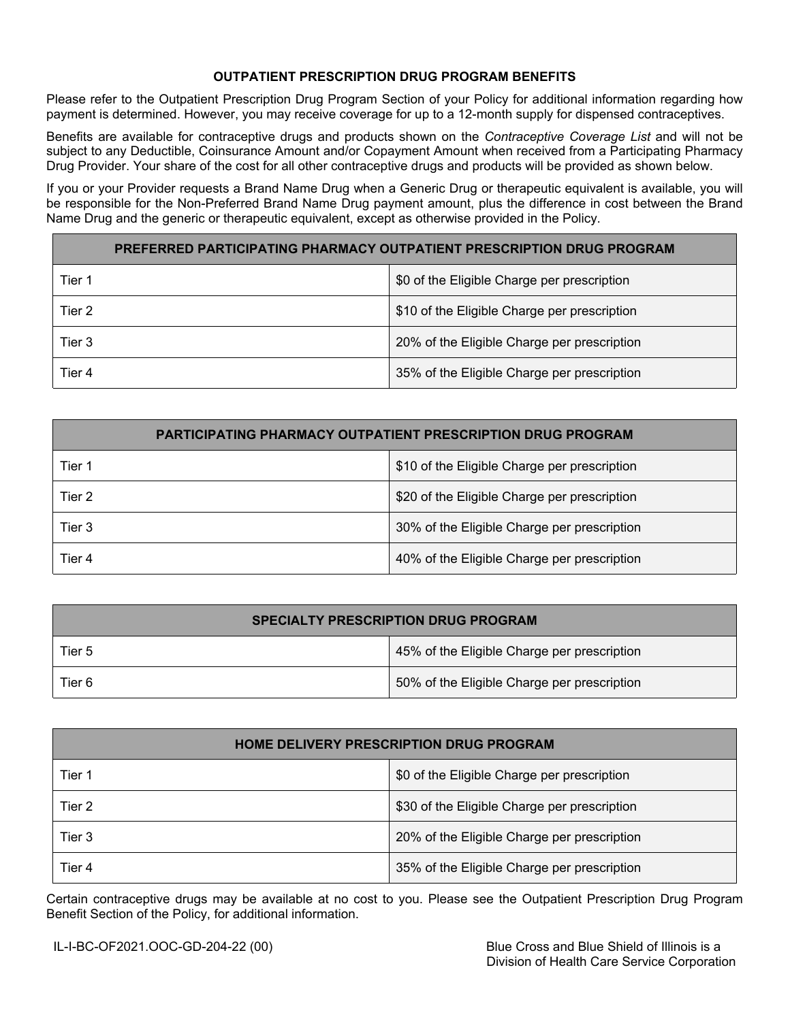## **OUTPATIENT PRESCRIPTION DRUG PROGRAM BENEFITS**

Please refer to the Outpatient Prescription Drug Program Section of your Policy for additional information regarding how payment is determined. However, you may receive coverage for up to a 12-month supply for dispensed contraceptives.

Benefits are available for contraceptive drugs and products shown on the *Contraceptive Coverage List* and will not be subject to any Deductible, Coinsurance Amount and/or Copayment Amount when received from a Participating Pharmacy Drug Provider. Your share of the cost for all other contraceptive drugs and products will be provided as shown below.

If you or your Provider requests a Brand Name Drug when a Generic Drug or therapeutic equivalent is available, you will be responsible for the Non-Preferred Brand Name Drug payment amount, plus the difference in cost between the Brand Name Drug and the generic or therapeutic equivalent, except as otherwise provided in the Policy.

| PREFERRED PARTICIPATING PHARMACY OUTPATIENT PRESCRIPTION DRUG PROGRAM |                                              |  |
|-----------------------------------------------------------------------|----------------------------------------------|--|
| Tier 1                                                                | \$0 of the Eligible Charge per prescription  |  |
| Tier 2                                                                | \$10 of the Eligible Charge per prescription |  |
| Tier 3                                                                | 20% of the Eligible Charge per prescription  |  |
| Tier 4                                                                | 35% of the Eligible Charge per prescription  |  |

| <b>PARTICIPATING PHARMACY OUTPATIENT PRESCRIPTION DRUG PROGRAM</b> |                                              |  |
|--------------------------------------------------------------------|----------------------------------------------|--|
| Tier 1                                                             | \$10 of the Eligible Charge per prescription |  |
| Tier 2                                                             | \$20 of the Eligible Charge per prescription |  |
| Tier 3                                                             | 30% of the Eligible Charge per prescription  |  |
| Tier 4                                                             | 40% of the Eligible Charge per prescription  |  |

| <b>SPECIALTY PRESCRIPTION DRUG PROGRAM</b> |                                             |  |
|--------------------------------------------|---------------------------------------------|--|
| Tier 5                                     | 45% of the Eligible Charge per prescription |  |
| Tier 6                                     | 50% of the Eligible Charge per prescription |  |

| <b>HOME DELIVERY PRESCRIPTION DRUG PROGRAM</b> |                                              |  |
|------------------------------------------------|----------------------------------------------|--|
| Tier 1                                         | \$0 of the Eligible Charge per prescription  |  |
| Tier 2                                         | \$30 of the Eligible Charge per prescription |  |
| Tier 3                                         | 20% of the Eligible Charge per prescription  |  |
| Tier 4                                         | 35% of the Eligible Charge per prescription  |  |

Certain contraceptive drugs may be available at no cost to you. Please see the Outpatient Prescription Drug Program Benefit Section of the Policy, for additional information.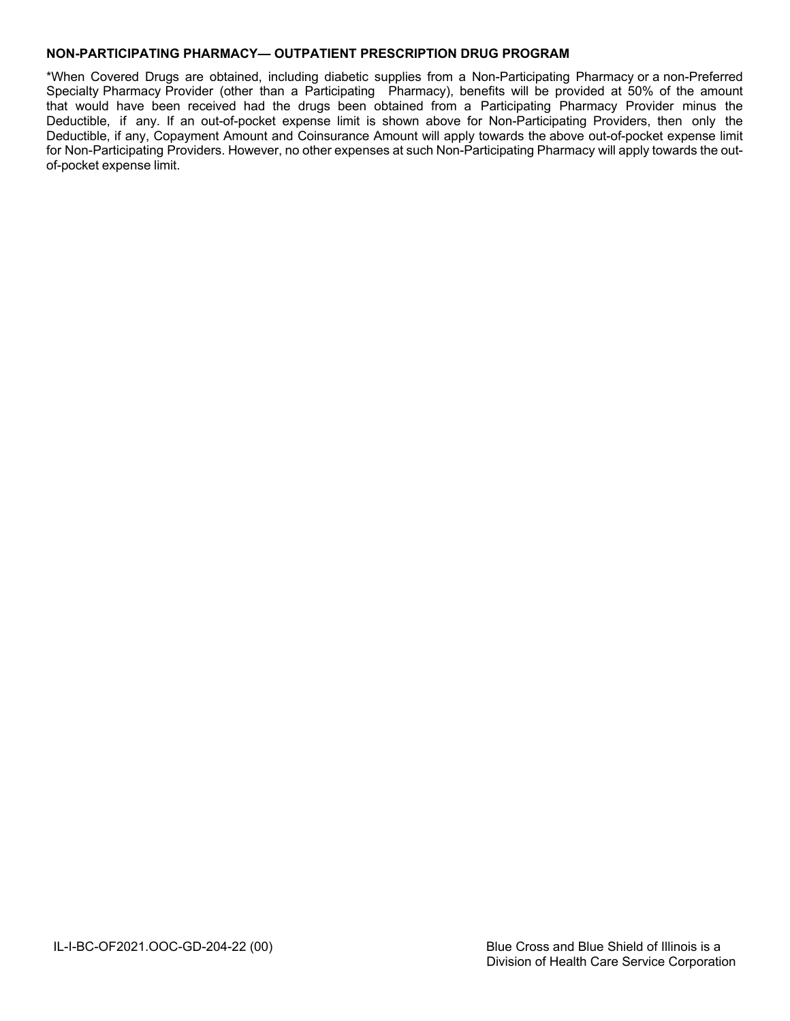## **NON-PARTICIPATING PHARMACY— OUTPATIENT PRESCRIPTION DRUG PROGRAM**

\*When Covered Drugs are obtained, including diabetic supplies from a Non-Participating Pharmacy or a non-Preferred Specialty Pharmacy Provider (other than a Participating Pharmacy), benefits will be provided at 50% of the amount that would have been received had the drugs been obtained from a Participating Pharmacy Provider minus the Deductible, if any. If an out-of-pocket expense limit is shown above for Non-Participating Providers, then only the Deductible, if any, Copayment Amount and Coinsurance Amount will apply towards the above out-of-pocket expense limit for Non-Participating Providers. However, no other expenses at such Non-Participating Pharmacy will apply towards the outof-pocket expense limit.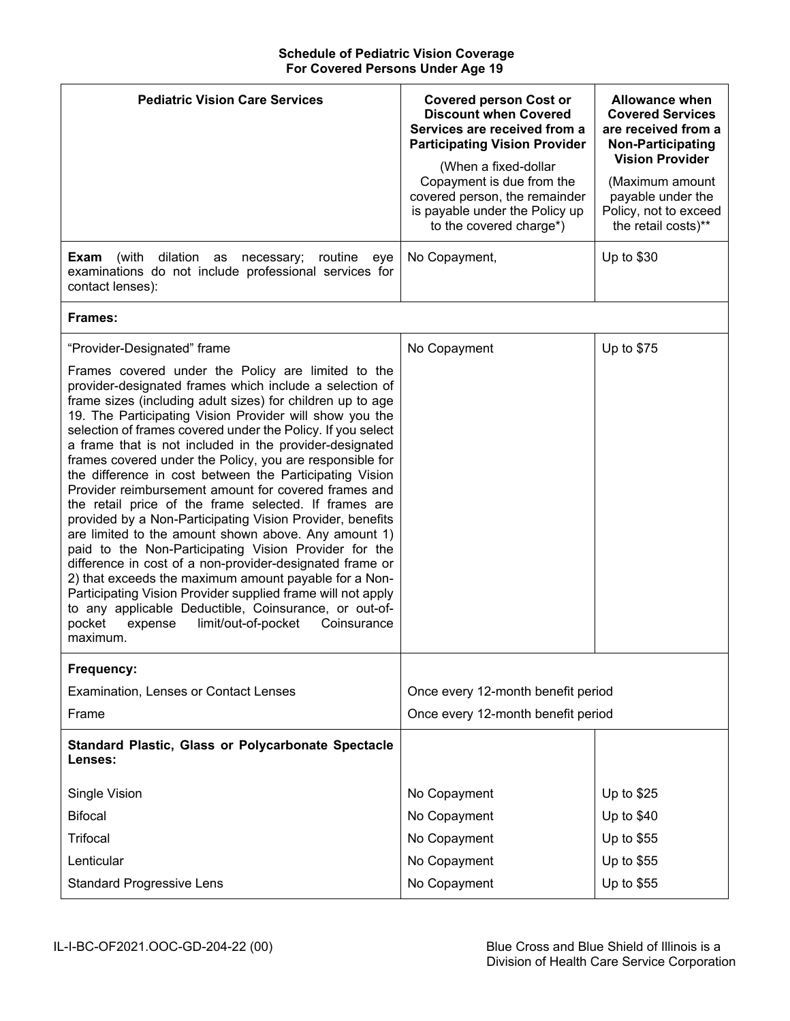### **Schedule of Pediatric Vision Coverage For Covered Persons Under Age 19**

| <b>Pediatric Vision Care Services</b>                                                                                                                                                                                                                                                                                                                                                                                                                                                                                                                                                                                                                                                                                                                                                                                                                                                                                                                                                                                                                                                                                                     | <b>Covered person Cost or</b><br><b>Discount when Covered</b><br>Services are received from a<br><b>Participating Vision Provider</b><br>(When a fixed-dollar<br>Copayment is due from the<br>covered person, the remainder<br>is payable under the Policy up<br>to the covered charge*) | <b>Allowance when</b><br><b>Covered Services</b><br>are received from a<br><b>Non-Participating</b><br><b>Vision Provider</b><br>(Maximum amount<br>payable under the<br>Policy, not to exceed<br>the retail costs)** |
|-------------------------------------------------------------------------------------------------------------------------------------------------------------------------------------------------------------------------------------------------------------------------------------------------------------------------------------------------------------------------------------------------------------------------------------------------------------------------------------------------------------------------------------------------------------------------------------------------------------------------------------------------------------------------------------------------------------------------------------------------------------------------------------------------------------------------------------------------------------------------------------------------------------------------------------------------------------------------------------------------------------------------------------------------------------------------------------------------------------------------------------------|------------------------------------------------------------------------------------------------------------------------------------------------------------------------------------------------------------------------------------------------------------------------------------------|-----------------------------------------------------------------------------------------------------------------------------------------------------------------------------------------------------------------------|
| dilation<br>Exam<br>(with<br>routine<br>as<br>necessary;<br>eye<br>examinations do not include professional services for<br>contact lenses):                                                                                                                                                                                                                                                                                                                                                                                                                                                                                                                                                                                                                                                                                                                                                                                                                                                                                                                                                                                              | No Copayment,                                                                                                                                                                                                                                                                            | Up to \$30                                                                                                                                                                                                            |
| Frames:                                                                                                                                                                                                                                                                                                                                                                                                                                                                                                                                                                                                                                                                                                                                                                                                                                                                                                                                                                                                                                                                                                                                   |                                                                                                                                                                                                                                                                                          |                                                                                                                                                                                                                       |
| "Provider-Designated" frame<br>Frames covered under the Policy are limited to the<br>provider-designated frames which include a selection of<br>frame sizes (including adult sizes) for children up to age<br>19. The Participating Vision Provider will show you the<br>selection of frames covered under the Policy. If you select<br>a frame that is not included in the provider-designated<br>frames covered under the Policy, you are responsible for<br>the difference in cost between the Participating Vision<br>Provider reimbursement amount for covered frames and<br>the retail price of the frame selected. If frames are<br>provided by a Non-Participating Vision Provider, benefits<br>are limited to the amount shown above. Any amount 1)<br>paid to the Non-Participating Vision Provider for the<br>difference in cost of a non-provider-designated frame or<br>2) that exceeds the maximum amount payable for a Non-<br>Participating Vision Provider supplied frame will not apply<br>to any applicable Deductible, Coinsurance, or out-of-<br>pocket<br>limit/out-of-pocket<br>expense<br>Coinsurance<br>maximum. | No Copayment                                                                                                                                                                                                                                                                             | Up to \$75                                                                                                                                                                                                            |
| Frequency:                                                                                                                                                                                                                                                                                                                                                                                                                                                                                                                                                                                                                                                                                                                                                                                                                                                                                                                                                                                                                                                                                                                                |                                                                                                                                                                                                                                                                                          |                                                                                                                                                                                                                       |
| Examination, Lenses or Contact Lenses<br>Frame                                                                                                                                                                                                                                                                                                                                                                                                                                                                                                                                                                                                                                                                                                                                                                                                                                                                                                                                                                                                                                                                                            | Once every 12-month benefit period<br>Once every 12-month benefit period                                                                                                                                                                                                                 |                                                                                                                                                                                                                       |
| Standard Plastic, Glass or Polycarbonate Spectacle<br>Lenses:                                                                                                                                                                                                                                                                                                                                                                                                                                                                                                                                                                                                                                                                                                                                                                                                                                                                                                                                                                                                                                                                             |                                                                                                                                                                                                                                                                                          |                                                                                                                                                                                                                       |
| Single Vision                                                                                                                                                                                                                                                                                                                                                                                                                                                                                                                                                                                                                                                                                                                                                                                                                                                                                                                                                                                                                                                                                                                             | No Copayment                                                                                                                                                                                                                                                                             | Up to $$25$                                                                                                                                                                                                           |
| <b>Bifocal</b>                                                                                                                                                                                                                                                                                                                                                                                                                                                                                                                                                                                                                                                                                                                                                                                                                                                                                                                                                                                                                                                                                                                            | No Copayment                                                                                                                                                                                                                                                                             | Up to $$40$                                                                                                                                                                                                           |
| <b>Trifocal</b>                                                                                                                                                                                                                                                                                                                                                                                                                                                                                                                                                                                                                                                                                                                                                                                                                                                                                                                                                                                                                                                                                                                           | No Copayment                                                                                                                                                                                                                                                                             | Up to \$55                                                                                                                                                                                                            |
| Lenticular                                                                                                                                                                                                                                                                                                                                                                                                                                                                                                                                                                                                                                                                                                                                                                                                                                                                                                                                                                                                                                                                                                                                | No Copayment                                                                                                                                                                                                                                                                             | Up to \$55                                                                                                                                                                                                            |
| <b>Standard Progressive Lens</b>                                                                                                                                                                                                                                                                                                                                                                                                                                                                                                                                                                                                                                                                                                                                                                                                                                                                                                                                                                                                                                                                                                          | No Copayment                                                                                                                                                                                                                                                                             | Up to \$55                                                                                                                                                                                                            |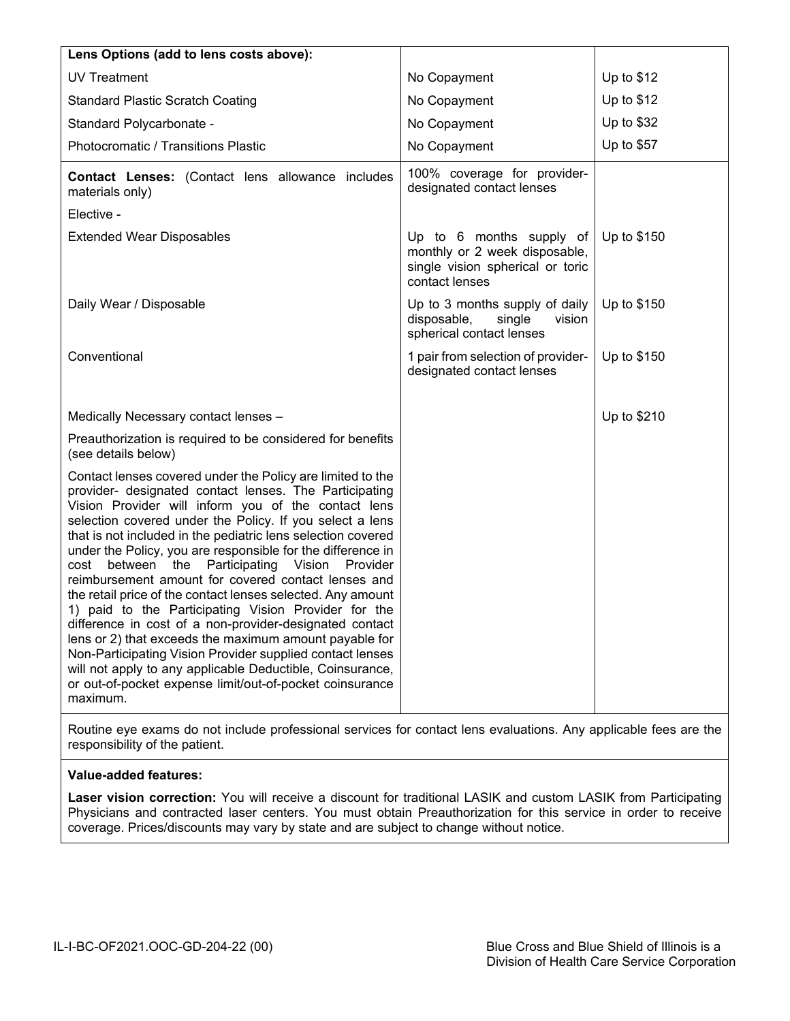| Lens Options (add to lens costs above):                                                                                                                                                                                                                                                                                                                                                                                                                                                                                                                                                                                                                                                                                                                                                                                                                                                                                                |                                                                                                                 |             |
|----------------------------------------------------------------------------------------------------------------------------------------------------------------------------------------------------------------------------------------------------------------------------------------------------------------------------------------------------------------------------------------------------------------------------------------------------------------------------------------------------------------------------------------------------------------------------------------------------------------------------------------------------------------------------------------------------------------------------------------------------------------------------------------------------------------------------------------------------------------------------------------------------------------------------------------|-----------------------------------------------------------------------------------------------------------------|-------------|
| <b>UV Treatment</b>                                                                                                                                                                                                                                                                                                                                                                                                                                                                                                                                                                                                                                                                                                                                                                                                                                                                                                                    | No Copayment                                                                                                    | Up to \$12  |
| <b>Standard Plastic Scratch Coating</b>                                                                                                                                                                                                                                                                                                                                                                                                                                                                                                                                                                                                                                                                                                                                                                                                                                                                                                | No Copayment                                                                                                    | Up to \$12  |
| Standard Polycarbonate -                                                                                                                                                                                                                                                                                                                                                                                                                                                                                                                                                                                                                                                                                                                                                                                                                                                                                                               | No Copayment                                                                                                    | Up to \$32  |
| Photocromatic / Transitions Plastic                                                                                                                                                                                                                                                                                                                                                                                                                                                                                                                                                                                                                                                                                                                                                                                                                                                                                                    | No Copayment                                                                                                    | Up to \$57  |
| Contact Lenses: (Contact lens allowance includes<br>materials only)                                                                                                                                                                                                                                                                                                                                                                                                                                                                                                                                                                                                                                                                                                                                                                                                                                                                    | 100% coverage for provider-<br>designated contact lenses                                                        |             |
| Elective -                                                                                                                                                                                                                                                                                                                                                                                                                                                                                                                                                                                                                                                                                                                                                                                                                                                                                                                             |                                                                                                                 |             |
| <b>Extended Wear Disposables</b>                                                                                                                                                                                                                                                                                                                                                                                                                                                                                                                                                                                                                                                                                                                                                                                                                                                                                                       | Up to 6 months supply of<br>monthly or 2 week disposable,<br>single vision spherical or toric<br>contact lenses | Up to \$150 |
| Daily Wear / Disposable                                                                                                                                                                                                                                                                                                                                                                                                                                                                                                                                                                                                                                                                                                                                                                                                                                                                                                                | Up to 3 months supply of daily<br>single<br>disposable,<br>vision<br>spherical contact lenses                   | Up to \$150 |
| Conventional                                                                                                                                                                                                                                                                                                                                                                                                                                                                                                                                                                                                                                                                                                                                                                                                                                                                                                                           | 1 pair from selection of provider-<br>designated contact lenses                                                 | Up to \$150 |
| Medically Necessary contact lenses -                                                                                                                                                                                                                                                                                                                                                                                                                                                                                                                                                                                                                                                                                                                                                                                                                                                                                                   |                                                                                                                 | Up to \$210 |
| Preauthorization is required to be considered for benefits<br>(see details below)                                                                                                                                                                                                                                                                                                                                                                                                                                                                                                                                                                                                                                                                                                                                                                                                                                                      |                                                                                                                 |             |
| Contact lenses covered under the Policy are limited to the<br>provider- designated contact lenses. The Participating<br>Vision Provider will inform you of the contact lens<br>selection covered under the Policy. If you select a lens<br>that is not included in the pediatric lens selection covered<br>under the Policy, you are responsible for the difference in<br>Participating Vision<br>between the<br>Provider<br>cost<br>reimbursement amount for covered contact lenses and<br>the retail price of the contact lenses selected. Any amount<br>1) paid to the Participating Vision Provider for the<br>difference in cost of a non-provider-designated contact<br>lens or 2) that exceeds the maximum amount payable for<br>Non-Participating Vision Provider supplied contact lenses<br>will not apply to any applicable Deductible, Coinsurance,<br>or out-of-pocket expense limit/out-of-pocket coinsurance<br>maximum. |                                                                                                                 |             |
| Routine eye exame do not include professional services for contact lens evaluations. Any applicable fees are the                                                                                                                                                                                                                                                                                                                                                                                                                                                                                                                                                                                                                                                                                                                                                                                                                       |                                                                                                                 |             |

Routine eye exams do not include professional services for contact lens evaluations. Any applicable fees are the responsibility of the patient.

# **Value-added features:**

**Laser vision correction:** You will receive a discount for traditional LASIK and custom LASIK from Participating Physicians and contracted laser centers. You must obtain Preauthorization for this service in order to receive coverage. Prices/discounts may vary by state and are subject to change without notice.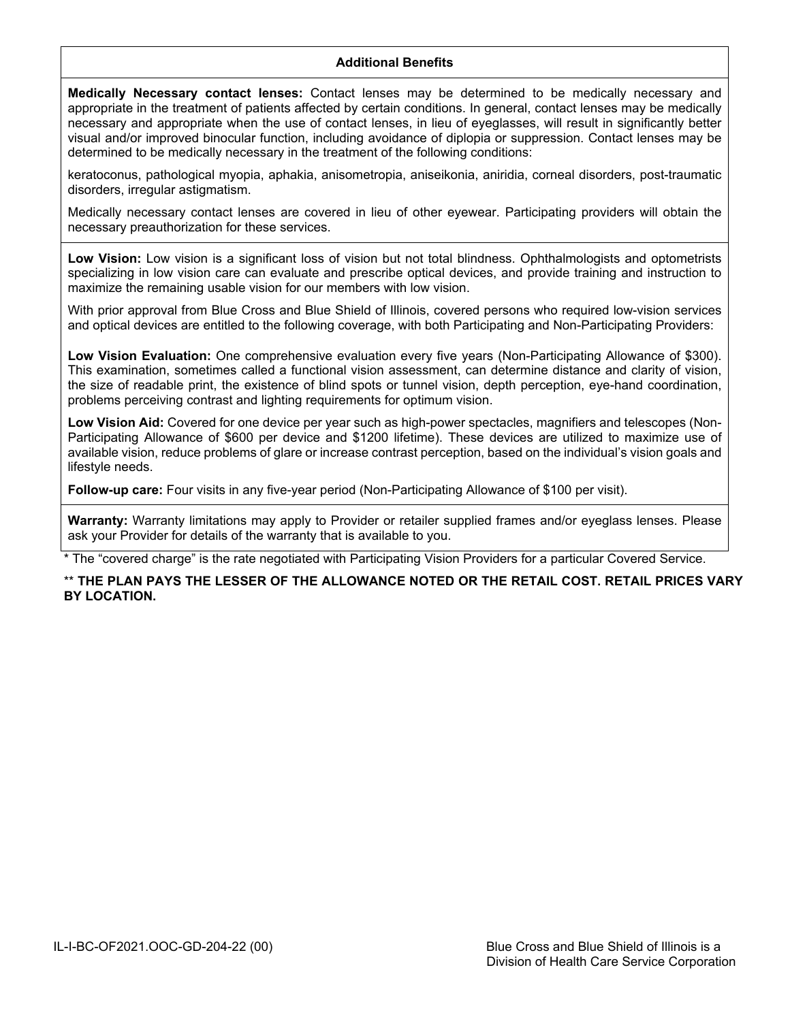## **Additional Benefits**

**Medically Necessary contact lenses:** Contact lenses may be determined to be medically necessary and appropriate in the treatment of patients affected by certain conditions. In general, contact lenses may be medically necessary and appropriate when the use of contact lenses, in lieu of eyeglasses, will result in significantly better visual and/or improved binocular function, including avoidance of diplopia or suppression. Contact lenses may be determined to be medically necessary in the treatment of the following conditions:

keratoconus, pathological myopia, aphakia, anisometropia, aniseikonia, aniridia, corneal disorders, post-traumatic disorders, irregular astigmatism.

Medically necessary contact lenses are covered in lieu of other eyewear. Participating providers will obtain the necessary preauthorization for these services.

Low Vision: Low vision is a significant loss of vision but not total blindness. Ophthalmologists and optometrists specializing in low vision care can evaluate and prescribe optical devices, and provide training and instruction to maximize the remaining usable vision for our members with low vision.

With prior approval from Blue Cross and Blue Shield of Illinois, covered persons who required low-vision services and optical devices are entitled to the following coverage, with both Participating and Non-Participating Providers:

**Low Vision Evaluation:** One comprehensive evaluation every five years (Non-Participating Allowance of \$300). This examination, sometimes called a functional vision assessment, can determine distance and clarity of vision, the size of readable print, the existence of blind spots or tunnel vision, depth perception, eye-hand coordination, problems perceiving contrast and lighting requirements for optimum vision.

**Low Vision Aid:** Covered for one device per year such as high-power spectacles, magnifiers and telescopes (Non-Participating Allowance of \$600 per device and \$1200 lifetime). These devices are utilized to maximize use of available vision, reduce problems of glare or increase contrast perception, based on the individual's vision goals and lifestyle needs.

**Follow-up care:** Four visits in any five-year period (Non-Participating Allowance of \$100 per visit).

**Warranty:** Warranty limitations may apply to Provider or retailer supplied frames and/or eveglass lenses. Please ask your Provider for details of the warranty that is available to you.

The "covered charge" is the rate negotiated with Participating Vision Providers for a particular Covered Service.

## \*\* **THE PLAN PAYS THE LESSER OF THE ALLOWANCE NOTED OR THE RETAIL COST. RETAIL PRICES VARY BY LOCATION.**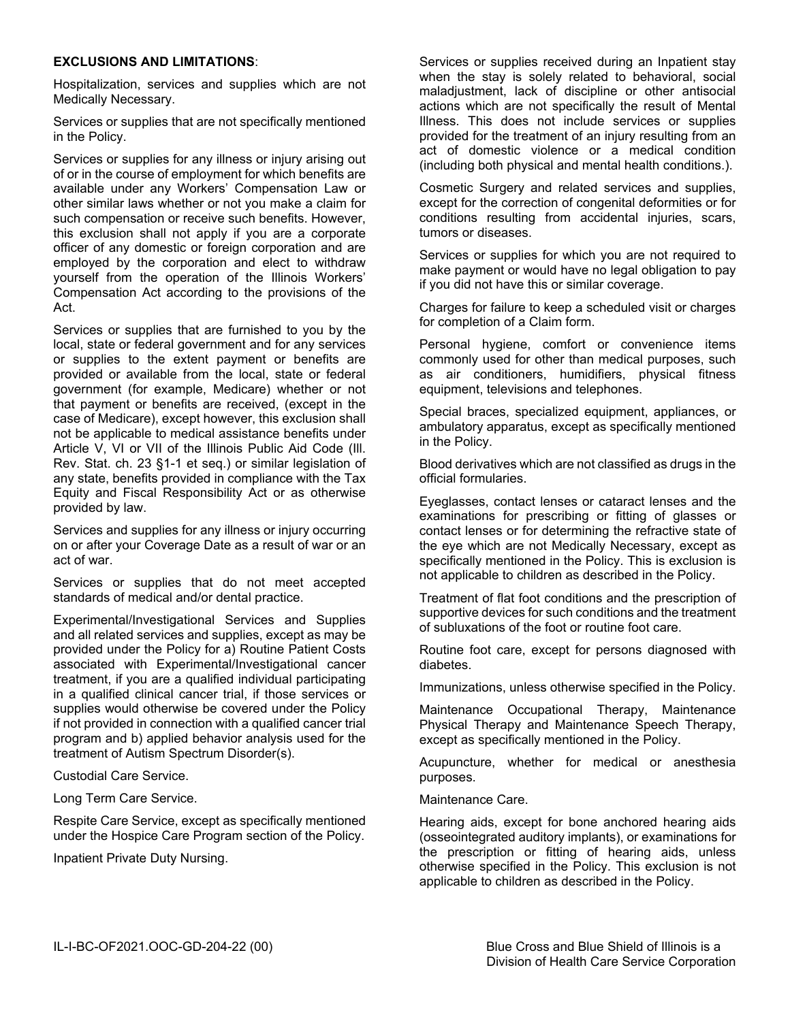### **EXCLUSIONS AND LIMITATIONS**:

Hospitalization, services and supplies which are not Medically Necessary.

Services or supplies that are not specifically mentioned in the Policy.

Services or supplies for any illness or injury arising out of or in the course of employment for which benefits are available under any Workers' Compensation Law or other similar laws whether or not you make a claim for such compensation or receive such benefits. However, this exclusion shall not apply if you are a corporate officer of any domestic or foreign corporation and are employed by the corporation and elect to withdraw yourself from the operation of the Illinois Workers' Compensation Act according to the provisions of the Act.

Services or supplies that are furnished to you by the local, state or federal government and for any services or supplies to the extent payment or benefits are provided or available from the local, state or federal government (for example, Medicare) whether or not that payment or benefits are received, (except in the case of Medicare), except however, this exclusion shall not be applicable to medical assistance benefits under Article V, VI or VII of the Illinois Public Aid Code (Ill. Rev. Stat. ch. 23 §1-1 et seq.) or similar legislation of any state, benefits provided in compliance with the Tax Equity and Fiscal Responsibility Act or as otherwise provided by law.

Services and supplies for any illness or injury occurring on or after your Coverage Date as a result of war or an act of war.

Services or supplies that do not meet accepted standards of medical and/or dental practice.

Experimental/Investigational Services and Supplies and all related services and supplies, except as may be provided under the Policy for a) Routine Patient Costs associated with Experimental/Investigational cancer treatment, if you are a qualified individual participating in a qualified clinical cancer trial, if those services or supplies would otherwise be covered under the Policy if not provided in connection with a qualified cancer trial program and b) applied behavior analysis used for the treatment of Autism Spectrum Disorder(s).

Custodial Care Service.

Long Term Care Service.

Respite Care Service, except as specifically mentioned under the Hospice Care Program section of the Policy.

Inpatient Private Duty Nursing.

Services or supplies received during an Inpatient stay when the stay is solely related to behavioral, social maladjustment, lack of discipline or other antisocial actions which are not specifically the result of Mental Illness. This does not include services or supplies provided for the treatment of an injury resulting from an act of domestic violence or a medical condition (including both physical and mental health conditions.).

Cosmetic Surgery and related services and supplies, except for the correction of congenital deformities or for conditions resulting from accidental injuries, scars, tumors or diseases.

Services or supplies for which you are not required to make payment or would have no legal obligation to pay if you did not have this or similar coverage.

Charges for failure to keep a scheduled visit or charges for completion of a Claim form.

Personal hygiene, comfort or convenience items commonly used for other than medical purposes, such as air conditioners, humidifiers, physical fitness equipment, televisions and telephones.

Special braces, specialized equipment, appliances, or ambulatory apparatus, except as specifically mentioned in the Policy.

Blood derivatives which are not classified as drugs in the official formularies.

Eyeglasses, contact lenses or cataract lenses and the examinations for prescribing or fitting of glasses or contact lenses or for determining the refractive state of the eye which are not Medically Necessary, except as specifically mentioned in the Policy. This is exclusion is not applicable to children as described in the Policy.

Treatment of flat foot conditions and the prescription of supportive devices for such conditions and the treatment of subluxations of the foot or routine foot care.

Routine foot care, except for persons diagnosed with diabetes.

Immunizations, unless otherwise specified in the Policy.

Maintenance Occupational Therapy, Maintenance Physical Therapy and Maintenance Speech Therapy, except as specifically mentioned in the Policy.

Acupuncture, whether for medical or anesthesia purposes.

Maintenance Care.

Hearing aids, except for bone anchored hearing aids (osseointegrated auditory implants), or examinations for the prescription or fitting of hearing aids, unless otherwise specified in the Policy. This exclusion is not applicable to children as described in the Policy.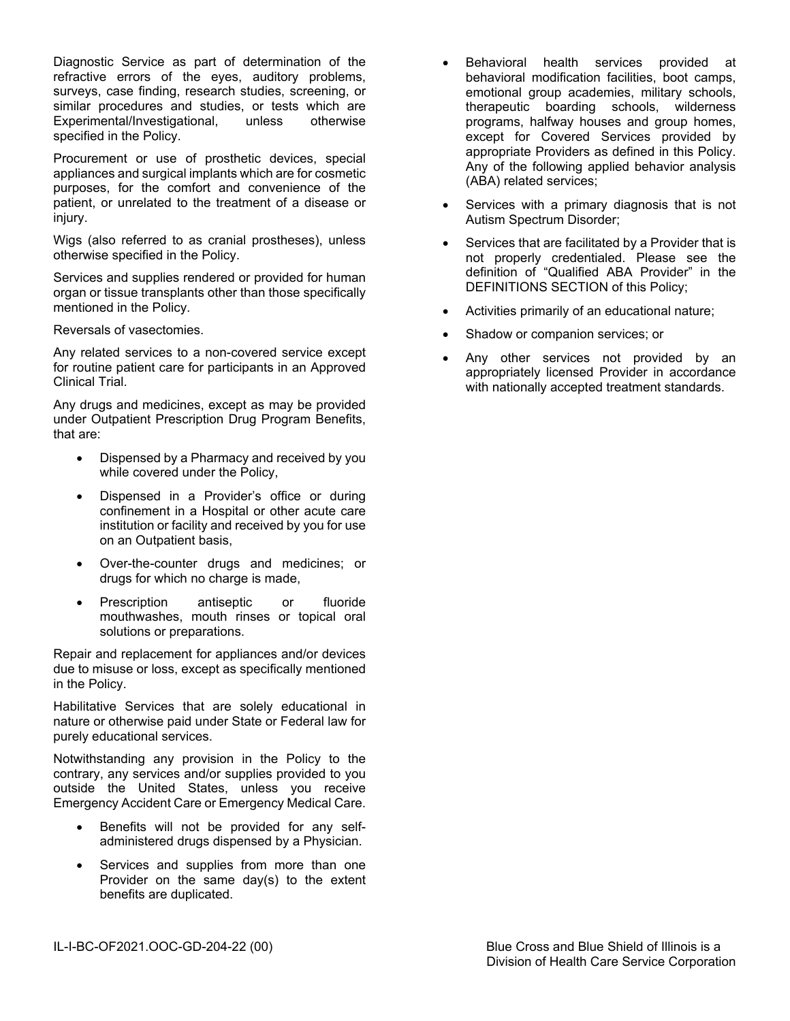Diagnostic Service as part of determination of the refractive errors of the eyes, auditory problems, surveys, case finding, research studies, screening, or similar procedures and studies, or tests which are Experimental/Investigational, unless otherwise specified in the Policy.

Procurement or use of prosthetic devices, special appliances and surgical implants which are for cosmetic purposes, for the comfort and convenience of the patient, or unrelated to the treatment of a disease or injury.

Wigs (also referred to as cranial prostheses), unless otherwise specified in the Policy.

Services and supplies rendered or provided for human organ or tissue transplants other than those specifically mentioned in the Policy.

Reversals of vasectomies.

Any related services to a non-covered service except for routine patient care for participants in an Approved Clinical Trial.

Any drugs and medicines, except as may be provided under Outpatient Prescription Drug Program Benefits, that are:

- Dispensed by a Pharmacy and received by you while covered under the Policy,
- Dispensed in a Provider's office or during confinement in a Hospital or other acute care institution or facility and received by you for use on an Outpatient basis,
- Over-the-counter drugs and medicines; or drugs for which no charge is made,
- Prescription antiseptic or fluoride mouthwashes, mouth rinses or topical oral solutions or preparations.

Repair and replacement for appliances and/or devices due to misuse or loss, except as specifically mentioned in the Policy.

Habilitative Services that are solely educational in nature or otherwise paid under State or Federal law for purely educational services.

Notwithstanding any provision in the Policy to the contrary, any services and/or supplies provided to you outside the United States, unless you receive Emergency Accident Care or Emergency Medical Care.

- Benefits will not be provided for any selfadministered drugs dispensed by a Physician.
- Services and supplies from more than one Provider on the same day(s) to the extent benefits are duplicated.
- Behavioral health services provided at behavioral modification facilities, boot camps, emotional group academies, military schools, therapeutic boarding schools, wilderness programs, halfway houses and group homes, except for Covered Services provided by appropriate Providers as defined in this Policy. Any of the following applied behavior analysis (ABA) related services;
- Services with a primary diagnosis that is not Autism Spectrum Disorder;
- Services that are facilitated by a Provider that is not properly credentialed. Please see the definition of "Qualified ABA Provider" in the DEFINITIONS SECTION of this Policy;
- Activities primarily of an educational nature;
- Shadow or companion services; or
- Any other services not provided by an appropriately licensed Provider in accordance with nationally accepted treatment standards.